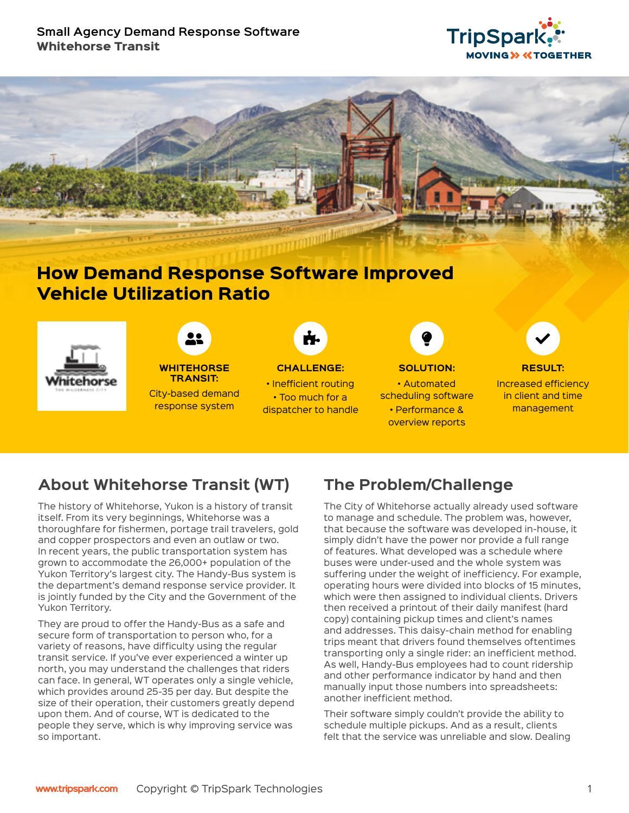### **Small Agency Demand Response Software** Whitehorse Transit





# How Demand Response Software Improved Vehicle Utilization Ratio







• Too much for a dispatcher to handle



**SOLUTION:**  • Automated scheduling software • Performance & overview reports



**RESULT:**  Increased efficiency in client and time management

# **About Whitehorse Transit (WT)**

The history of Whitehorse, Yukon is a history of transit itself. From its very beginnings, Whitehorse was a thoroughfare for fishermen, portage trail travelers, gold and copper prospectors and even an outlaw or two. In recent years, the public transportation system has grown to accommodate the 26,000+ population of the Yukon Territory's largest city. The Handy-Bus system is the department's demand response service provider. It is jointly funded by the City and the Government of the Yukon Territory.

They are proud to offer the Handy-Bus as a safe and secure form of transportation to person who, for a variety of reasons, have difficulty using the regular transit service. If you've ever experienced a winter up north, you may understand the challenges that riders can face. In general, WT operates only a single vehicle, which provides around 25-35 per day. But despite the size of their operation, their customers greatly depend upon them. And of course, WT is dedicated to the people they serve, which is why improving service was so important.

# **The Problem/Challenge**

The City of Whitehorse actually already used software to manage and schedule. The problem was, however, that because the software was developed in-house, it simply didn't have the power nor provide a full range of features. What developed was a schedule where buses were under-used and the whole system was suffering under the weight of inefficiency. For example, operating hours were divided into blocks of 15 minutes, which were then assigned to individual clients. Drivers then received a printout of their daily manifest (hard copy) containing pickup times and client's names and addresses. This daisy-chain method for enabling trips meant that drivers found themselves oftentimes transporting only a single rider: an inefficient method. As well, Handy-Bus employees had to count ridership and other performance indicator by hand and then manually input those numbers into spreadsheets: another inefficient method.

Their software simply couldn't provide the ability to schedule multiple pickups. And as a result, clients felt that the service was unreliable and slow. Dealing